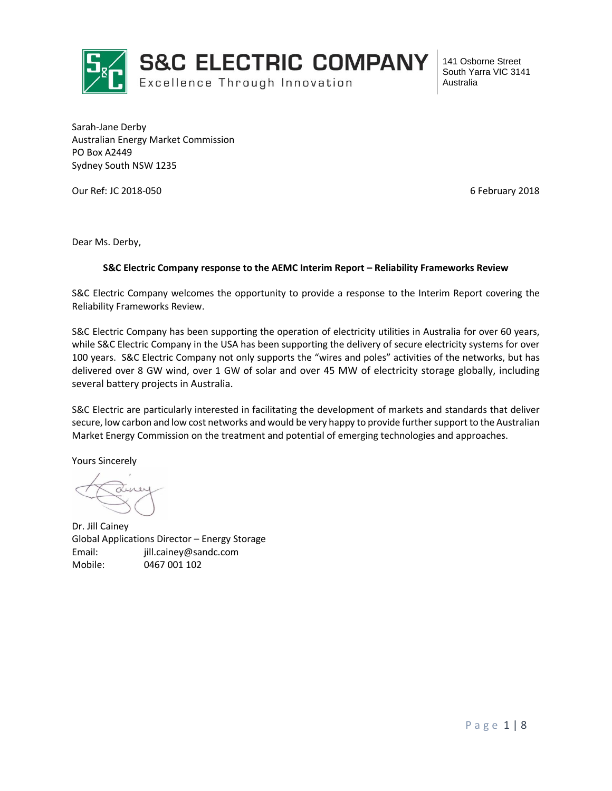

Sarah-Jane Derby Australian Energy Market Commission PO Box A2449 Sydney South NSW 1235

Our Ref: JC 2018-050 6 February 2018

Dear Ms. Derby,

#### **S&C Electric Company response to the AEMC Interim Report – Reliability Frameworks Review**

S&C Electric Company welcomes the opportunity to provide a response to the Interim Report covering the Reliability Frameworks Review.

S&C Electric Company has been supporting the operation of electricity utilities in Australia for over 60 years, while S&C Electric Company in the USA has been supporting the delivery of secure electricity systems for over 100 years. S&C Electric Company not only supports the "wires and poles" activities of the networks, but has delivered over 8 GW wind, over 1 GW of solar and over 45 MW of electricity storage globally, including several battery projects in Australia.

S&C Electric are particularly interested in facilitating the development of markets and standards that deliver secure, low carbon and low cost networks and would be very happy to provide further support to the Australian Market Energy Commission on the treatment and potential of emerging technologies and approaches.

Yours Sincerely

Dr. Jill Cainey Global Applications Director – Energy Storage Email: jill.cainey@sandc.com Mobile: 0467 001 102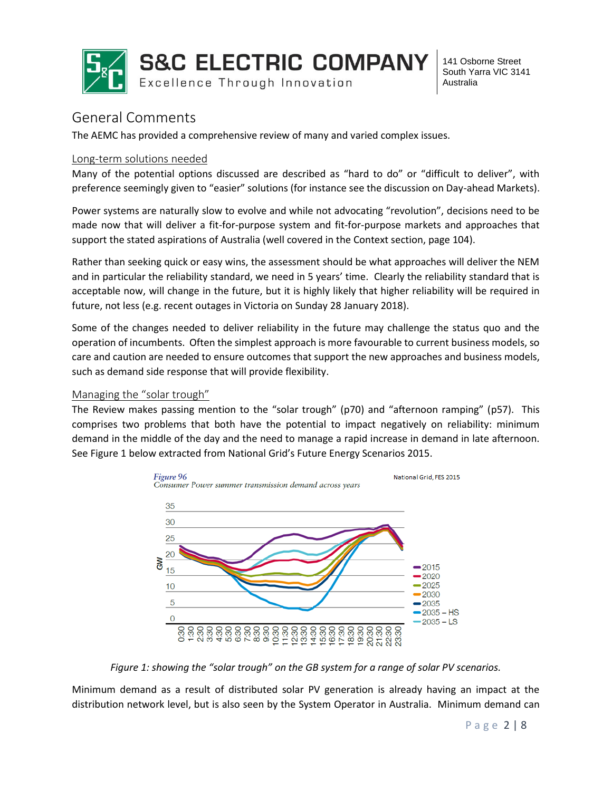

## General Comments

The AEMC has provided a comprehensive review of many and varied complex issues.

### Long-term solutions needed

Many of the potential options discussed are described as "hard to do" or "difficult to deliver", with preference seemingly given to "easier" solutions (for instance see the discussion on Day-ahead Markets).

Power systems are naturally slow to evolve and while not advocating "revolution", decisions need to be made now that will deliver a fit-for-purpose system and fit-for-purpose markets and approaches that support the stated aspirations of Australia (well covered in the Context section, page 104).

Rather than seeking quick or easy wins, the assessment should be what approaches will deliver the NEM and in particular the reliability standard, we need in 5 years' time. Clearly the reliability standard that is acceptable now, will change in the future, but it is highly likely that higher reliability will be required in future, not less (e.g. recent outages in Victoria on Sunday 28 January 2018).

Some of the changes needed to deliver reliability in the future may challenge the status quo and the operation of incumbents. Often the simplest approach is more favourable to current business models, so care and caution are needed to ensure outcomes that support the new approaches and business models, such as demand side response that will provide flexibility.

### Managing the "solar trough"

The Review makes passing mention to the "solar trough" (p70) and "afternoon ramping" (p57). This comprises two problems that both have the potential to impact negatively on reliability: minimum demand in the middle of the day and the need to manage a rapid increase in demand in late afternoon. See Figure 1 below extracted from National Grid's Future Energy Scenarios 2015.



*Figure 1: showing the "solar trough" on the GB system for a range of solar PV scenarios.*

Minimum demand as a result of distributed solar PV generation is already having an impact at the distribution network level, but is also seen by the System Operator in Australia. Minimum demand can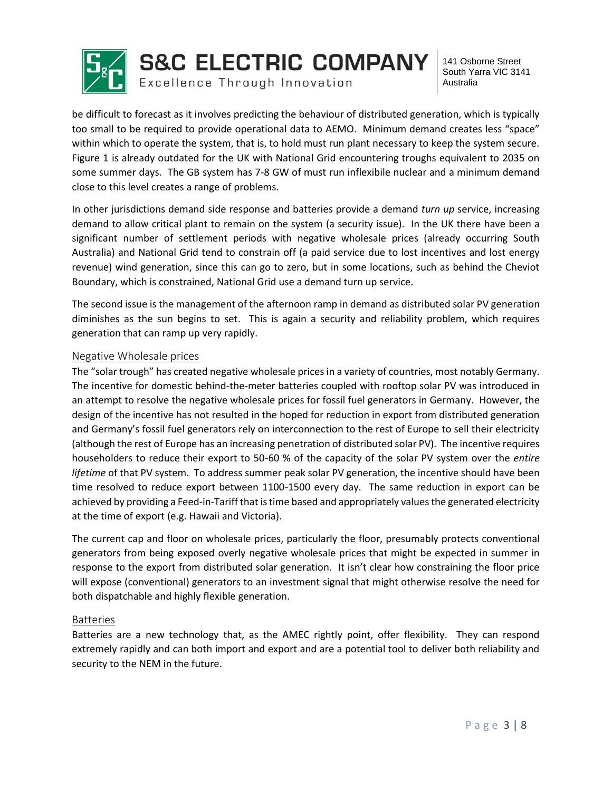

**S&C ELECTRIC COMPANY** 

Excellence Through Innovation

141 Osborne Street South Yarra VIC 3141 Australia

be difficult to forecast as it involves predicting the behaviour of distributed generation, which is typically too small to be required to provide operational data to AEMO. Minimum demand creates less "space" within which to operate the system, that is, to hold must run plant necessary to keep the system secure. Figure 1 is already outdated for the UK with National Grid encountering troughs equivalent to 2035 on some summer days. The GB system has 7-8 GW of must run inflexibile nuclear and a minimum demand close to this level creates a range of problems.

In other jurisdictions demand side response and batteries provide a demand *turn up* service, increasing demand to allow critical plant to remain on the system (a security issue). In the UK there have been a significant number of settlement periods with negative wholesale prices (already occurring South Australia) and National Grid tend to constrain off (a paid service due to lost incentives and lost energy revenue) wind generation, since this can go to zero, but in some locations, such as behind the Cheviot Boundary, which is constrained, National Grid use a demand turn up service.

The second issue is the management of the afternoon ramp in demand as distributed solar PV generation diminishes as the sun begins to set. This is again a security and reliability problem, which requires generation that can ramp up very rapidly.

### Negative Wholesale prices

The "solar trough" has created negative wholesale prices in a variety of countries, most notably Germany. The incentive for domestic behind-the-meter batteries coupled with rooftop solar PV was introduced in an attempt to resolve the negative wholesale prices for fossil fuel generators in Germany. However, the design of the incentive has not resulted in the hoped for reduction in export from distributed generation and Germany's fossil fuel generators rely on interconnection to the rest of Europe to sell their electricity (although the rest of Europe has an increasing penetration of distributed solar PV). The incentive requires householders to reduce their export to 50-60 % of the capacity of the solar PV system over the *entire lifetime* of that PV system. To address summer peak solar PV generation, the incentive should have been time resolved to reduce export between 1100-1500 every day. The same reduction in export can be achieved by providing a Feed-in-Tariff that is time based and appropriately values the generated electricity at the time of export (e.g. Hawaii and Victoria).

The current cap and floor on wholesale prices, particularly the floor, presumably protects conventional generators from being exposed overly negative wholesale prices that might be expected in summer in response to the export from distributed solar generation. It isn't clear how constraining the floor price will expose (conventional) generators to an investment signal that might otherwise resolve the need for both dispatchable and highly flexible generation.

### Batteries

Batteries are a new technology that, as the AMEC rightly point, offer flexibility. They can respond extremely rapidly and can both import and export and are a potential tool to deliver both reliability and security to the NEM in the future.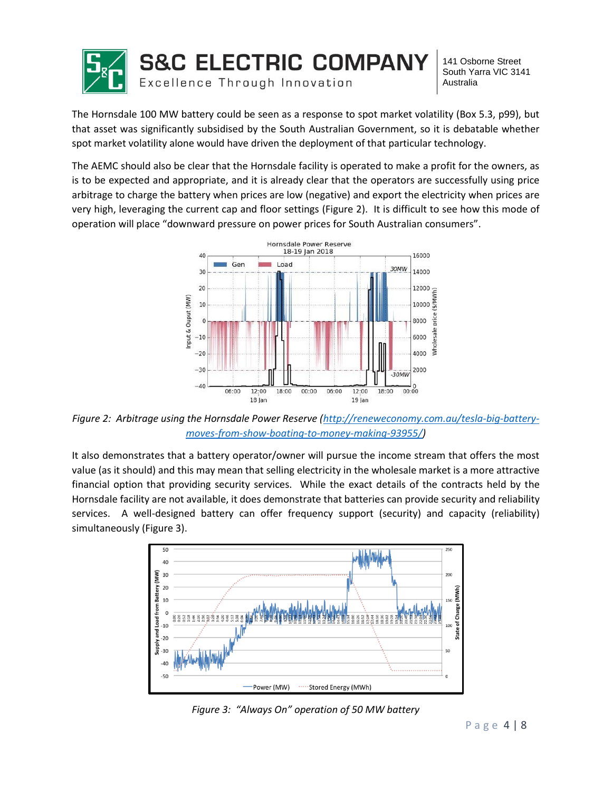

The Hornsdale 100 MW battery could be seen as a response to spot market volatility (Box 5.3, p99), but that asset was significantly subsidised by the South Australian Government, so it is debatable whether spot market volatility alone would have driven the deployment of that particular technology.

The AEMC should also be clear that the Hornsdale facility is operated to make a profit for the owners, as is to be expected and appropriate, and it is already clear that the operators are successfully using price arbitrage to charge the battery when prices are low (negative) and export the electricity when prices are very high, leveraging the current cap and floor settings (Figure 2). It is difficult to see how this mode of operation will place "downward pressure on power prices for South Australian consumers".



*Figure 2: Arbitrage using the Hornsdale Power Reserve [\(http://reneweconomy.com.au/tesla-big-battery](http://reneweconomy.com.au/tesla-big-battery-moves-from-show-boating-to-money-making-93955/)[moves-from-show-boating-to-money-making-93955/\)](http://reneweconomy.com.au/tesla-big-battery-moves-from-show-boating-to-money-making-93955/)*

It also demonstrates that a battery operator/owner will pursue the income stream that offers the most value (as it should) and this may mean that selling electricity in the wholesale market is a more attractive financial option that providing security services. While the exact details of the contracts held by the Hornsdale facility are not available, it does demonstrate that batteries can provide security and reliability services. A well-designed battery can offer frequency support (security) and capacity (reliability) simultaneously (Figure 3).



*Figure 3: "Always On" operation of 50 MW battery*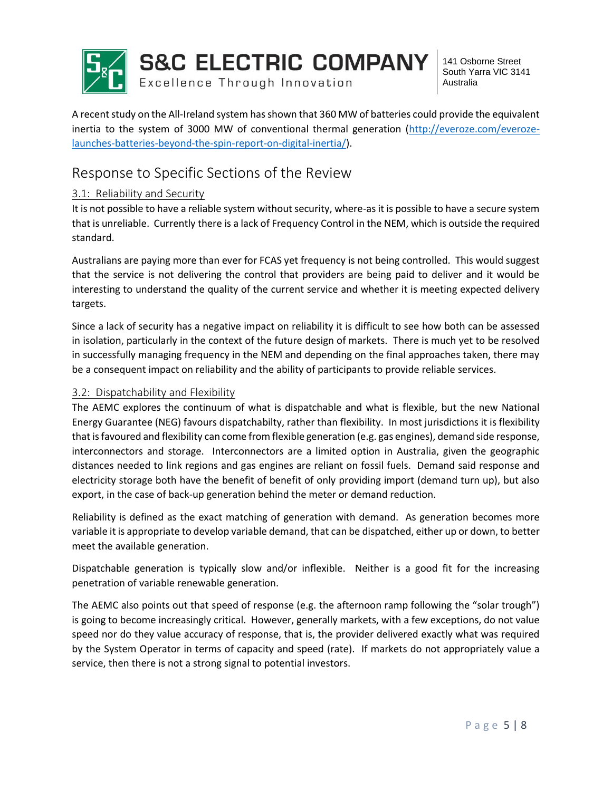

**S&C ELECTRIC COMPANY** 

Excellence Through Innovation

141 Osborne Street South Yarra VIC 3141 Australia

A recent study on the All-Ireland system has shown that 360 MW of batteries could provide the equivalent inertia to the system of 3000 MW of conventional thermal generation [\(http://everoze.com/everoze](http://everoze.com/everoze-launches-batteries-beyond-the-spin-report-on-digital-inertia/)[launches-batteries-beyond-the-spin-report-on-digital-inertia/\)](http://everoze.com/everoze-launches-batteries-beyond-the-spin-report-on-digital-inertia/).

# Response to Specific Sections of the Review

### 3.1: Reliability and Security

It is not possible to have a reliable system without security, where-as it is possible to have a secure system that is unreliable. Currently there is a lack of Frequency Control in the NEM, which is outside the required standard.

Australians are paying more than ever for FCAS yet frequency is not being controlled. This would suggest that the service is not delivering the control that providers are being paid to deliver and it would be interesting to understand the quality of the current service and whether it is meeting expected delivery targets.

Since a lack of security has a negative impact on reliability it is difficult to see how both can be assessed in isolation, particularly in the context of the future design of markets. There is much yet to be resolved in successfully managing frequency in the NEM and depending on the final approaches taken, there may be a consequent impact on reliability and the ability of participants to provide reliable services.

### 3.2: Dispatchability and Flexibility

The AEMC explores the continuum of what is dispatchable and what is flexible, but the new National Energy Guarantee (NEG) favours dispatchabilty, rather than flexibility. In most jurisdictions it is flexibility that is favoured and flexibility can come from flexible generation (e.g. gas engines), demand side response, interconnectors and storage. Interconnectors are a limited option in Australia, given the geographic distances needed to link regions and gas engines are reliant on fossil fuels. Demand said response and electricity storage both have the benefit of benefit of only providing import (demand turn up), but also export, in the case of back-up generation behind the meter or demand reduction.

Reliability is defined as the exact matching of generation with demand. As generation becomes more variable it is appropriate to develop variable demand, that can be dispatched, either up or down, to better meet the available generation.

Dispatchable generation is typically slow and/or inflexible. Neither is a good fit for the increasing penetration of variable renewable generation.

The AEMC also points out that speed of response (e.g. the afternoon ramp following the "solar trough") is going to become increasingly critical. However, generally markets, with a few exceptions, do not value speed nor do they value accuracy of response, that is, the provider delivered exactly what was required by the System Operator in terms of capacity and speed (rate). If markets do not appropriately value a service, then there is not a strong signal to potential investors.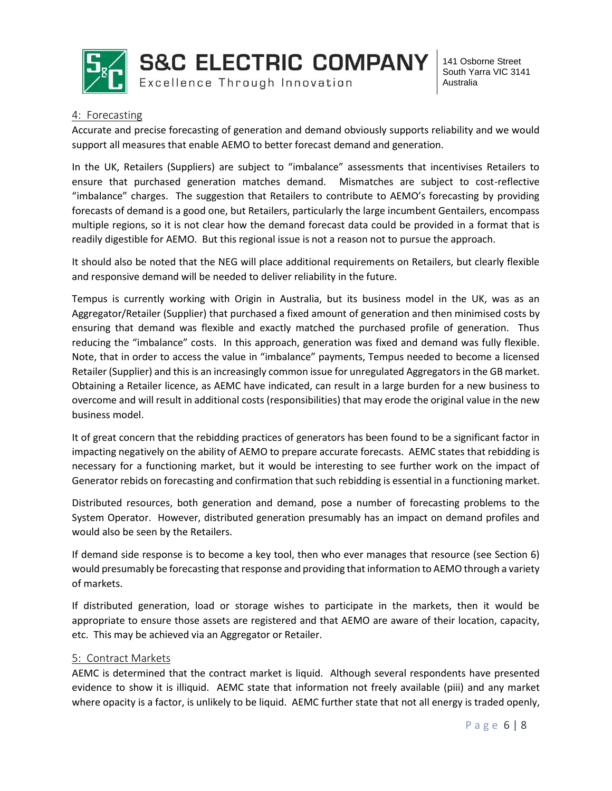

**S&C ELECTRIC COMPANY** Excellence Through Innovation

141 Osborne Street South Yarra VIC 3141 Australia

### 4: Forecasting

Accurate and precise forecasting of generation and demand obviously supports reliability and we would support all measures that enable AEMO to better forecast demand and generation.

In the UK, Retailers (Suppliers) are subject to "imbalance" assessments that incentivises Retailers to ensure that purchased generation matches demand. Mismatches are subject to cost-reflective "imbalance" charges. The suggestion that Retailers to contribute to AEMO's forecasting by providing forecasts of demand is a good one, but Retailers, particularly the large incumbent Gentailers, encompass multiple regions, so it is not clear how the demand forecast data could be provided in a format that is readily digestible for AEMO. But this regional issue is not a reason not to pursue the approach.

It should also be noted that the NEG will place additional requirements on Retailers, but clearly flexible and responsive demand will be needed to deliver reliability in the future.

Tempus is currently working with Origin in Australia, but its business model in the UK, was as an Aggregator/Retailer (Supplier) that purchased a fixed amount of generation and then minimised costs by ensuring that demand was flexible and exactly matched the purchased profile of generation. Thus reducing the "imbalance" costs. In this approach, generation was fixed and demand was fully flexible. Note, that in order to access the value in "imbalance" payments, Tempus needed to become a licensed Retailer (Supplier) and this is an increasingly common issue for unregulated Aggregators in the GB market. Obtaining a Retailer licence, as AEMC have indicated, can result in a large burden for a new business to overcome and will result in additional costs (responsibilities) that may erode the original value in the new business model.

It of great concern that the rebidding practices of generators has been found to be a significant factor in impacting negatively on the ability of AEMO to prepare accurate forecasts. AEMC states that rebidding is necessary for a functioning market, but it would be interesting to see further work on the impact of Generator rebids on forecasting and confirmation that such rebidding is essential in a functioning market.

Distributed resources, both generation and demand, pose a number of forecasting problems to the System Operator. However, distributed generation presumably has an impact on demand profiles and would also be seen by the Retailers.

If demand side response is to become a key tool, then who ever manages that resource (see Section 6) would presumably be forecasting that response and providing that information to AEMO through a variety of markets.

If distributed generation, load or storage wishes to participate in the markets, then it would be appropriate to ensure those assets are registered and that AEMO are aware of their location, capacity, etc. This may be achieved via an Aggregator or Retailer.

### 5: Contract Markets

AEMC is determined that the contract market is liquid. Although several respondents have presented evidence to show it is illiquid. AEMC state that information not freely available (piii) and any market where opacity is a factor, is unlikely to be liquid. AEMC further state that not all energy is traded openly,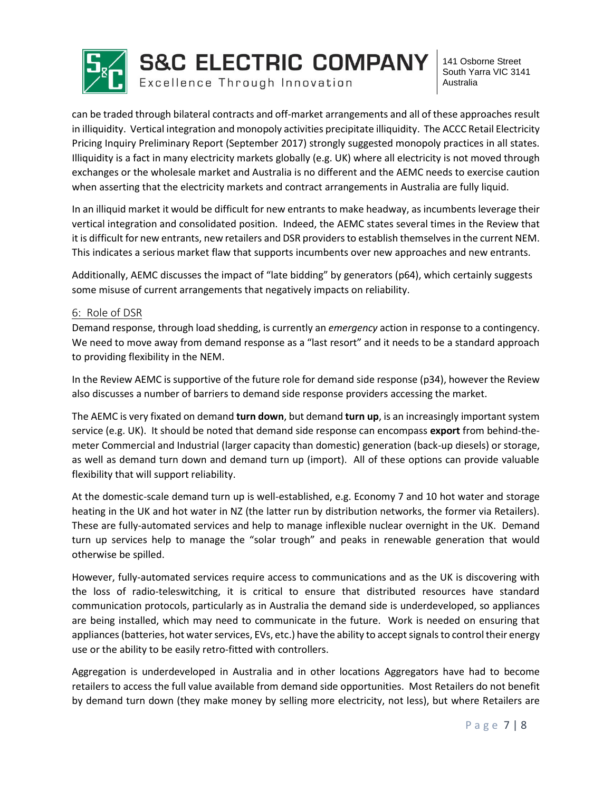

can be traded through bilateral contracts and off-market arrangements and all of these approaches result in illiquidity. Vertical integration and monopoly activities precipitate illiquidity. The ACCC Retail Electricity Pricing Inquiry Preliminary Report (September 2017) strongly suggested monopoly practices in all states. Illiquidity is a fact in many electricity markets globally (e.g. UK) where all electricity is not moved through exchanges or the wholesale market and Australia is no different and the AEMC needs to exercise caution when asserting that the electricity markets and contract arrangements in Australia are fully liquid.

In an illiquid market it would be difficult for new entrants to make headway, as incumbents leverage their vertical integration and consolidated position. Indeed, the AEMC states several times in the Review that it is difficult for new entrants, new retailers and DSR providersto establish themselves in the current NEM. This indicates a serious market flaw that supports incumbents over new approaches and new entrants.

Additionally, AEMC discusses the impact of "late bidding" by generators (p64), which certainly suggests some misuse of current arrangements that negatively impacts on reliability.

### 6: Role of DSR

Demand response, through load shedding, is currently an *emergency* action in response to a contingency. We need to move away from demand response as a "last resort" and it needs to be a standard approach to providing flexibility in the NEM.

In the Review AEMC is supportive of the future role for demand side response (p34), however the Review also discusses a number of barriers to demand side response providers accessing the market.

The AEMC is very fixated on demand **turn down**, but demand **turn up**, is an increasingly important system service (e.g. UK). It should be noted that demand side response can encompass **export** from behind-themeter Commercial and Industrial (larger capacity than domestic) generation (back-up diesels) or storage, as well as demand turn down and demand turn up (import). All of these options can provide valuable flexibility that will support reliability.

At the domestic-scale demand turn up is well-established, e.g. Economy 7 and 10 hot water and storage heating in the UK and hot water in NZ (the latter run by distribution networks, the former via Retailers). These are fully-automated services and help to manage inflexible nuclear overnight in the UK. Demand turn up services help to manage the "solar trough" and peaks in renewable generation that would otherwise be spilled.

However, fully-automated services require access to communications and as the UK is discovering with the loss of radio-teleswitching, it is critical to ensure that distributed resources have standard communication protocols, particularly as in Australia the demand side is underdeveloped, so appliances are being installed, which may need to communicate in the future. Work is needed on ensuring that appliances (batteries, hot water services, EVs, etc.) have the ability to accept signals to control their energy use or the ability to be easily retro-fitted with controllers.

Aggregation is underdeveloped in Australia and in other locations Aggregators have had to become retailers to access the full value available from demand side opportunities. Most Retailers do not benefit by demand turn down (they make money by selling more electricity, not less), but where Retailers are